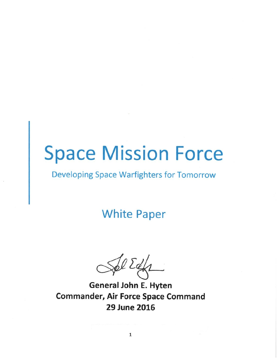# **Space Mission Force**

### Developing Space Warfighters for Tomorrow

## **White Paper**

**General John E. Hyten Commander, Air Force Space Command 29 June 2016**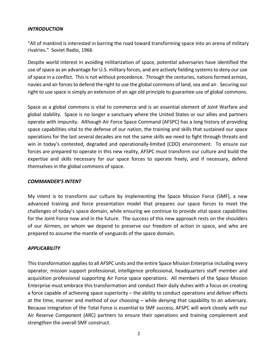#### *INTRODUCTION*

"All of mankind is interested in barring the road toward transforming space into an arena of military rivalries." Soviet Radio, 1966

Despite world interest in avoiding militarization of space, potential adversaries have identified the use of space as an advantage for U.S. military forces, and are actively fielding systems to deny our use of space in a conflict. This is not without precedence. Through the centuries, nations formed armies, navies and air forcesto defend the right to use the global commons of land, sea and air. Securing our right to use space is simply an extension of an age old principle to guarantee use of global commons.

Space as a global commons is vital to commerce and is an essential element of Joint Warfare and global stability. Space is no longer a sanctuary where the United States or our allies and partners operate with impunity. Although Air Force Space Command (AFSPC) has a long history of providing space capabilities vital to the defense of our nation, the training and skills that sustained our space operations for the last several decades are not the same skills we need to fight through threats and win in today's contested, degraded and operationally‐limited (CDO) environment. To ensure our forces are prepared to operate in this new reality, AFSPC must transform our culture and build the expertise and skills necessary for our space forces to operate freely, and if necessary, defend themselves in the global commons of space.

#### *COMMANDER'S INTENT*

My intent is to transform our culture by implementing the Space Mission Force (SMF), a new advanced training and force presentation model that prepares our space forces to meet the challenges of today's space domain, while ensuring we continue to provide vital space capabilities for the Joint Force now and in the future. The success of this new approach rests on the shoulders of our Airmen, on whom we depend to preserve our freedom of action in space, and who are prepared to assume the mantle of vanguards of the space domain.

#### *APPLICABILITY*

This transformation applies to all AFSPC units and the entire Space Mission Enterprise including every operator, mission support professional, intelligence professional, headquarters staff member and acquisition professional supporting Air Force space operations. All members of the Space Mission Enterprise must embrace this transformation and conduct their daily duties with a focus on creating a force capable of achieving space superiority – the ability to conduct operations and deliver effects at the time, manner and method of our choosing – while denying that capability to an adversary. Because integration of the Total Force is essential to SMF success, AFSPC will work closely with our Air Reserve Component (ARC) partners to ensure their operations and training complement and strengthen the overall SMF construct.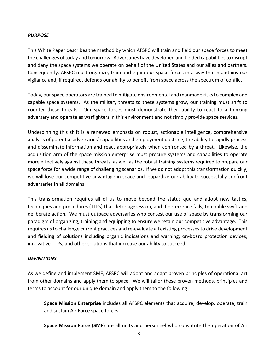#### *PURPOSE*

This White Paper describes the method by which AFSPC will train and field our space forces to meet the challenges of today and tomorrow. Adversaries have developed and fielded capabilities to disrupt and deny the space systems we operate on behalf of the United States and our allies and partners. Consequently, AFSPC must organize, train and equip our space forces in a way that maintains our vigilance and, if required, defends our ability to benefit from space across the spectrum of conflict.

Today, our space operators are trained to mitigate environmental and manmade risks to complex and capable space systems. As the military threats to these systems grow, our training must shift to counter these threats. Our space forces must demonstrate their ability to react to a thinking adversary and operate as warfighters in this environment and not simply provide space services.

Underpinning this shift is a renewed emphasis on robust, actionable intelligence, comprehensive analysis of potential adversaries' capabilities and employment doctrine, the ability to rapidly process and disseminate information and react appropriately when confronted by a threat. Likewise, the acquisition arm of the space mission enterprise must procure systems and capabilities to operate more effectively against these threats, as well as the robust training systems required to prepare our space force for a wide range of challenging scenarios. If we do not adopt this transformation quickly, we will lose our competitive advantage in space and jeopardize our ability to successfully confront adversaries in all domains.

This transformation requires all of us to move beyond the status quo and adopt new tactics, techniques and procedures (TTPs) that deter aggression, and if deterrence fails, to enable swift and deliberate action. We must outpace adversaries who contest our use of space by transforming our paradigm of organizing, training and equipping to ensure we retain our competitive advantage. This requires usto challenge current practices and re‐evaluate all existing processesto drive development and fielding of solutions including organic indications and warning; on‐board protection devices; innovative TTPs; and other solutions that increase our ability to succeed.

#### *DEFINITIONS*

As we define and implement SMF, AFSPC will adopt and adapt proven principles of operational art from other domains and apply them to space. We will tailor these proven methods, principles and terms to account for our unique domain and apply them to the following:

**Space Mission Enterprise** includes all AFSPC elements that acquire, develop, operate, train and sustain Air Force space forces.

**Space Mission Force (SMF)** are all units and personnel who constitute the operation of Air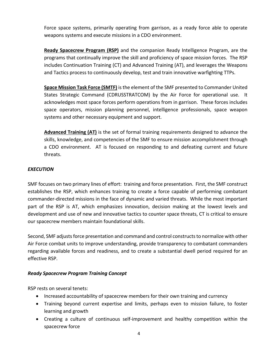Force space systems, primarily operating from garrison, as a ready force able to operate weapons systems and execute missions in a CDO environment.

**Ready Spacecrew Program (RSP)** and the companion Ready Intelligence Program, are the programs that continually improve the skill and proficiency of space mission forces. The RSP includes Continuation Training (CT) and Advanced Training (AT), and leverages the Weapons and Tactics process to continuously develop, test and train innovative warfighting TTPs.

**Space Mission Task Force (SMTF)** isthe element of the SMF presented to Commander United States Strategic Command (CDRUSSTRATCOM) by the Air Force for operational use. It acknowledges most space forces perform operations from in garrison. These forces includes space operators, mission planning personnel, intelligence professionals, space weapon systems and other necessary equipment and support.

**Advanced Training (AT)** is the set of formal training requirements designed to advance the skills, knowledge, and competencies of the SMF to ensure mission accomplishment through a CDO environment. AT is focused on responding to and defeating current and future threats.

#### *EXECUTION*

SMF focuses on two primary lines of effort: training and force presentation. First, the SMF construct establishes the RSP, which enhances training to create a force capable of performing combatant commander‐directed missions in the face of dynamic and varied threats. While the most important part of the RSP is AT, which emphasizes innovation, decision making at the lowest levels and development and use of new and innovative tactics to counter space threats, CT is critical to ensure our spacecrew members maintain foundational skills.

Second, SMF adjusts force presentation and command and control constructs to normalize with other Air Force combat units to improve understanding, provide transparency to combatant commanders regarding available forces and readiness, and to create a substantial dwell period required for an effective RSP.

#### *Ready Spacecrew Program Training Concept*

RSP rests on several tenets:

- Increased accountability of spacecrew members for their own training and currency
- Training beyond current expertise and limits, perhaps even to mission failure, to foster learning and growth
- Creating a culture of continuous self-improvement and healthy competition within the spacecrew force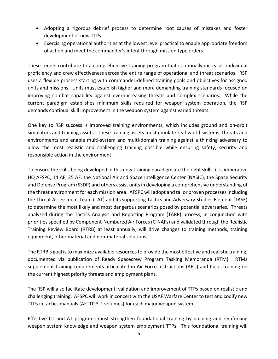- Adopting a rigorous debrief process to determine root causes of mistakes and foster development of new TTPs
- Exercising operational authorities at the lowest level practical to enable appropriate freedom of action and meet the commander's intent through mission type orders

These tenets contribute to a comprehensive training program that continually increases individual proficiency and crew effectiveness across the entire range of operational and threat scenarios. RSP uses a flexible process starting with commander‐defined training goals and objectives for assigned units and missions. Units must establish higher and more demanding training standards focused on improving combat capability against ever-increasing threats and complex scenarios. While the current paradigm establishes minimum skills required for weapon system operation, the RSP demands continual skill improvement in the weapon system against varied threats.

One key to RSP success is improved training environments, which includes ground and on‐orbit simulators and training assets. These training assets must emulate real‐world systems, threats and environments and enable multi‐system and multi‐domain training against a thinking adversary to allow the most realistic and challenging training possible while ensuring safety, security and responsible action in the environment.

To ensure the skills being developed in this new training paradigm are the right skills, it is imperative HQ AFSPC, 14 AF, 25 AF, the National Air and Space Intelligence Center (NASIC), the Space Security and Defense Program (SSDP) and others assist unitsin developing a comprehensive understanding of the threat environment for each mission area. AFSPC will adopt and tailor proven processes including the Threat Assessment Team (TAT) and its supporting Tactics and Adversary Studies Element (TASE) to determine the most likely and most dangerous scenarios posed by potential adversaries. Threats analyzed during the Tactics Analysis and Reporting Program (TARP) process, in conjunction with priorities specified by Component‐Numbered Air Forces (C‐NAFs) and validated through the Realistic Training Review Board (RTRB) at least annually, will drive changes to training methods, training equipment, other material and non‐material solutions.

The RTRB's goal is to maximize available resources to provide the most effective and realistic training, documented via publication of Ready Spacecrew Program Tasking Memoranda (RTM). RTMs supplement training requirements articulated in Air Force Instructions (AFIs) and focus training on the current highest priority threats and employment plans.

The RSP will also facilitate development, validation and improvement of TTPs based on realistic and challenging training. AFSPC will work in concert with the USAF Warfare Center to test and codify new TTPs in tactics manuals (AFTTP 3‐1 volumes) for each major weapon system.

Effective CT and AT programs must strengthen foundational training by building and reinforcing weapon system knowledge and weapon system employment TTPs. This foundational training will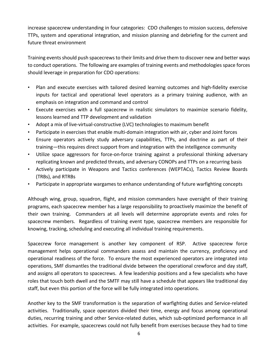increase spacecrew understanding in four categories: CDO challenges to mission success, defensive TTPs, system and operational integration, and mission planning and debriefing for the current and future threat environment

Training events should push spacecrews to their limits and drive them to discover new and better ways to conduct operations. The following are examples of training events and methodologies space forces should leverage in preparation for CDO operations:

- Plan and execute exercises with tailored desired learning outcomes and high‐fidelity exercise inputs for tactical and operational level operators as a primary training audience, with an emphasis on integration and command and control
- Execute exercises with a full spacecrew in realistic simulators to maximize scenario fidelity, lessons learned and TTP development and validation
- Adopt a mix of live-virtual-constructive (LVC) technologies to maximum benefit
- Participate in exercises that enable multi-domain integration with air, cyber and Joint forces
- Ensure operators actively study adversary capabilities, TTPs, and doctrine as part of their training—this requires direct support from and integration with the intelligence community
- Utilize space aggressors for force-on-force training against a professional thinking adversary replicating known and predicted threats, and adversary CONOPs and TTPs on a recurring basis
- Actively participate in Weapons and Tactics conferences (WEPTACs), Tactics Review Boards (TRBs), and RTRBs
- Participate in appropriate wargames to enhance understanding of future warfighting concepts

Although wing, group, squadron, flight, and mission commanders have oversight of their training programs, each spacecrew member has a large responsibility to proactively maximize the benefit of their own training. Commanders at all levels will determine appropriate events and roles for spacecrew members. Regardless of training event type, spacecrew members are responsible for knowing, tracking, scheduling and executing all individual training requirements.

Spacecrew force management is another key component of RSP. Active spacecrew force management helps operational commanders assess and maintain the currency, proficiency and operational readiness of the force. To ensure the most experienced operators are integrated into operations, SMF dismantles the traditional divide between the operational crewforce and day staff, and assigns all operators to spacecrews. A few leadership positions and a few specialists who have roles that touch both dwell and the SMTF may still have a schedule that appears like traditional day staff, but even this portion of the force will be fully integrated into operations.

Another key to the SMF transformation is the separation of warfighting duties and Service‐related activities. Traditionally, space operators divided their time, energy and focus among operational duties, recurring training and other Service-related duties, which sub-optimized performance in all activities. For example, spacecrews could not fully benefit from exercises because they had to time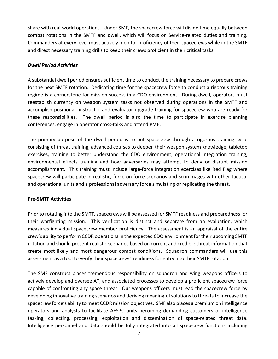share with real-world operations. Under SMF, the spacecrew force will divide time equally between combat rotations in the SMTF and dwell, which will focus on Service-related duties and training. Commanders at every level must actively monitor proficiency of their spacecrews while in the SMTF and direct necessary training drills to keep their crews proficient in their critical tasks.

#### *Dwell Period Activities*

A substantial dwell period ensures sufficient time to conduct the training necessary to prepare crews for the next SMTF rotation. Dedicating time for the spacecrew force to conduct a rigorous training regime is a cornerstone for mission success in a CDO environment. During dwell, operators must reestablish currency on weapon system tasks not observed during operations in the SMTF and accomplish positional, instructor and evaluator upgrade training for spacecrew who are ready for these responsibilities. The dwell period is also the time to participate in exercise planning conferences, engage in operator cross‐talks and attend PME.

The primary purpose of the dwell period is to put spacecrew through a rigorous training cycle consisting of threat training, advanced courses to deepen their weapon system knowledge, tabletop exercises, training to better understand the CDO environment, operational integration training, environmental effects training and how adversaries may attempt to deny or disrupt mission accomplishment. This training must include large-force integration exercises like Red Flag where spacecrew will participate in realistic, force-on-force scenarios and scrimmages with other tactical and operational units and a professional adversary force simulating or replicating the threat.

#### **Pre‐SMTF Activities**

Prior to rotating into the SMTF, spacecrews will be assessed for SMTF readiness and preparedness for their warfighting mission. This verification is distinct and separate from an evaluation, which measures individual spacecrew member proficiency. The assessment is an appraisal of the entire crew's ability to perform CCDR operations in the expected CDO environment for their upcoming SMTF rotation and should present realistic scenarios based on current and credible threat information that create most likely and most dangerous combat conditions. Squadron commanders will use this assessment as a tool to verify their spacecrews' readiness for entry into their SMTF rotation.

The SMF construct places tremendous responsibility on squadron and wing weapons officers to actively develop and oversee AT, and associated processes to develop a proficient spacecrew force capable of confronting any space threat. Our weapons officers must lead the spacecrew force by developing innovative training scenarios and deriving meaningful solutions to threats to increase the spacecrew force's ability to meet CCDR mission objectives. SMF also places a premium on intelligence operators and analysts to facilitate AFSPC units becoming demanding customers of intelligence tasking, collecting, processing, exploitation and dissemination of space‐related threat data. Intelligence personnel and data should be fully integrated into all spacecrew functions including